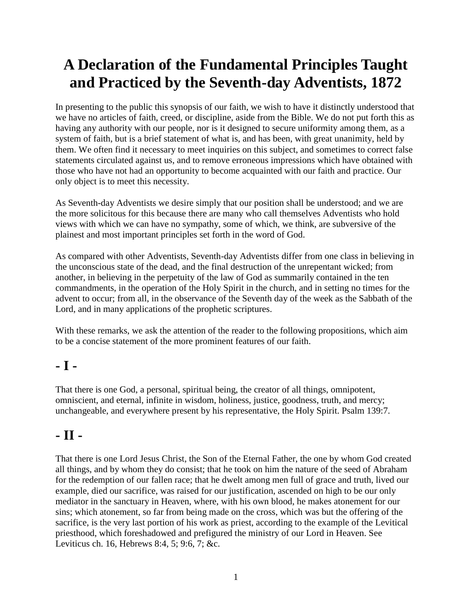## **A Declaration of the Fundamental Principles Taught and Practiced by the Seventh-day Adventists, 1872**

In presenting to the public this synopsis of our faith, we wish to have it distinctly understood that we have no articles of faith, creed, or discipline, aside from the Bible. We do not put forth this as having any authority with our people, nor is it designed to secure uniformity among them, as a system of faith, but is a brief statement of what is, and has been, with great unanimity, held by them. We often find it necessary to meet inquiries on this subject, and sometimes to correct false statements circulated against us, and to remove erroneous impressions which have obtained with those who have not had an opportunity to become acquainted with our faith and practice. Our only object is to meet this necessity.

As Seventh-day Adventists we desire simply that our position shall be understood; and we are the more solicitous for this because there are many who call themselves Adventists who hold views with which we can have no sympathy, some of which, we think, are subversive of the plainest and most important principles set forth in the word of God.

As compared with other Adventists, Seventh-day Adventists differ from one class in believing in the unconscious state of the dead, and the final destruction of the unrepentant wicked; from another, in believing in the perpetuity of the law of God as summarily contained in the ten commandments, in the operation of the Holy Spirit in the church, and in setting no times for the advent to occur; from all, in the observance of the Seventh day of the week as the Sabbath of the Lord, and in many applications of the prophetic scriptures.

With these remarks, we ask the attention of the reader to the following propositions, which aim to be a concise statement of the more prominent features of our faith.

#### **- I -**

That there is one God, a personal, spiritual being, the creator of all things, omnipotent, omniscient, and eternal, infinite in wisdom, holiness, justice, goodness, truth, and mercy; unchangeable, and everywhere present by his representative, the Holy Spirit. Psalm 139:7.

## **- II -**

That there is one Lord Jesus Christ, the Son of the Eternal Father, the one by whom God created all things, and by whom they do consist; that he took on him the nature of the seed of Abraham for the redemption of our fallen race; that he dwelt among men full of grace and truth, lived our example, died our sacrifice, was raised for our justification, ascended on high to be our only mediator in the sanctuary in Heaven, where, with his own blood, he makes atonement for our sins; which atonement, so far from being made on the cross, which was but the offering of the sacrifice, is the very last portion of his work as priest, according to the example of the Levitical priesthood, which foreshadowed and prefigured the ministry of our Lord in Heaven. See Leviticus ch. 16, Hebrews 8:4, 5; 9:6, 7; &c.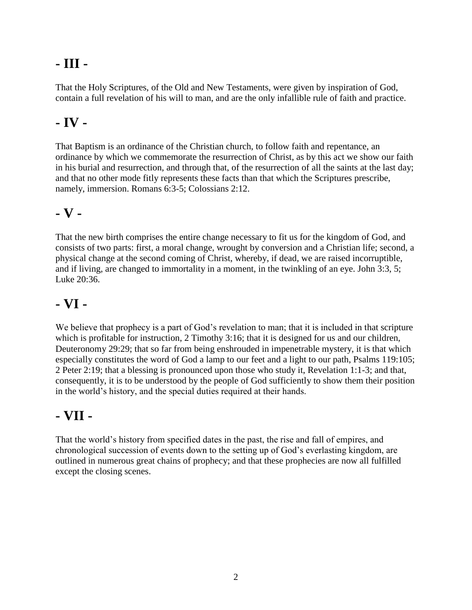## **- III -**

That the Holy Scriptures, of the Old and New Testaments, were given by inspiration of God, contain a full revelation of his will to man, and are the only infallible rule of faith and practice.

### **- IV -**

That Baptism is an ordinance of the Christian church, to follow faith and repentance, an ordinance by which we commemorate the resurrection of Christ, as by this act we show our faith in his burial and resurrection, and through that, of the resurrection of all the saints at the last day; and that no other mode fitly represents these facts than that which the Scriptures prescribe, namely, immersion. Romans 6:3-5; Colossians 2:12.

#### **- V -**

That the new birth comprises the entire change necessary to fit us for the kingdom of God, and consists of two parts: first, a moral change, wrought by conversion and a Christian life; second, a physical change at the second coming of Christ, whereby, if dead, we are raised incorruptible, and if living, are changed to immortality in a moment, in the twinkling of an eye. John 3:3, 5; Luke 20:36.

#### **- VI -**

We believe that prophecy is a part of God's revelation to man; that it is included in that scripture which is profitable for instruction, 2 Timothy 3:16; that it is designed for us and our children, Deuteronomy 29:29; that so far from being enshrouded in impenetrable mystery, it is that which especially constitutes the word of God a lamp to our feet and a light to our path, Psalms 119:105; 2 Peter 2:19; that a blessing is pronounced upon those who study it, Revelation 1:1-3; and that, consequently, it is to be understood by the people of God sufficiently to show them their position in the world's history, and the special duties required at their hands.

### **- VII -**

That the world's history from specified dates in the past, the rise and fall of empires, and chronological succession of events down to the setting up of God's everlasting kingdom, are outlined in numerous great chains of prophecy; and that these prophecies are now all fulfilled except the closing scenes.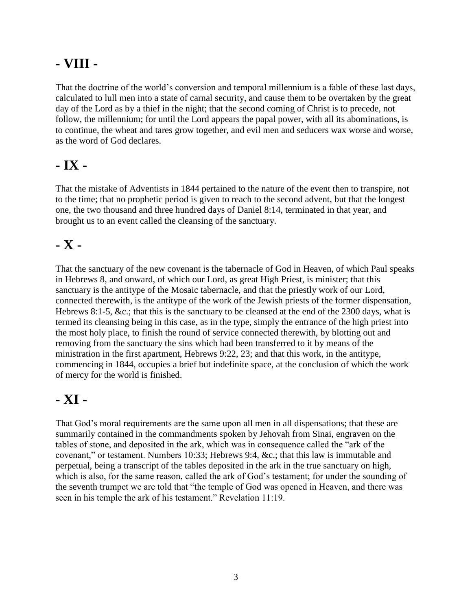## **- VIII -**

That the doctrine of the world's conversion and temporal millennium is a fable of these last days, calculated to lull men into a state of carnal security, and cause them to be overtaken by the great day of the Lord as by a thief in the night; that the second coming of Christ is to precede, not follow, the millennium; for until the Lord appears the papal power, with all its abominations, is to continue, the wheat and tares grow together, and evil men and seducers wax worse and worse, as the word of God declares.

### **- IX -**

That the mistake of Adventists in 1844 pertained to the nature of the event then to transpire, not to the time; that no prophetic period is given to reach to the second advent, but that the longest one, the two thousand and three hundred days of Daniel 8:14, terminated in that year, and brought us to an event called the cleansing of the sanctuary.

### **- X -**

That the sanctuary of the new covenant is the tabernacle of God in Heaven, of which Paul speaks in Hebrews 8, and onward, of which our Lord, as great High Priest, is minister; that this sanctuary is the antitype of the Mosaic tabernacle, and that the priestly work of our Lord, connected therewith, is the antitype of the work of the Jewish priests of the former dispensation, Hebrews 8:1-5, &c.; that this is the sanctuary to be cleansed at the end of the 2300 days, what is termed its cleansing being in this case, as in the type, simply the entrance of the high priest into the most holy place, to finish the round of service connected therewith, by blotting out and removing from the sanctuary the sins which had been transferred to it by means of the ministration in the first apartment, Hebrews 9:22, 23; and that this work, in the antitype, commencing in 1844, occupies a brief but indefinite space, at the conclusion of which the work of mercy for the world is finished.

#### **- XI -**

That God's moral requirements are the same upon all men in all dispensations; that these are summarily contained in the commandments spoken by Jehovah from Sinai, engraven on the tables of stone, and deposited in the ark, which was in consequence called the "ark of the covenant," or testament. Numbers 10:33; Hebrews 9:4, &c.; that this law is immutable and perpetual, being a transcript of the tables deposited in the ark in the true sanctuary on high, which is also, for the same reason, called the ark of God's testament; for under the sounding of the seventh trumpet we are told that "the temple of God was opened in Heaven, and there was seen in his temple the ark of his testament." Revelation 11:19.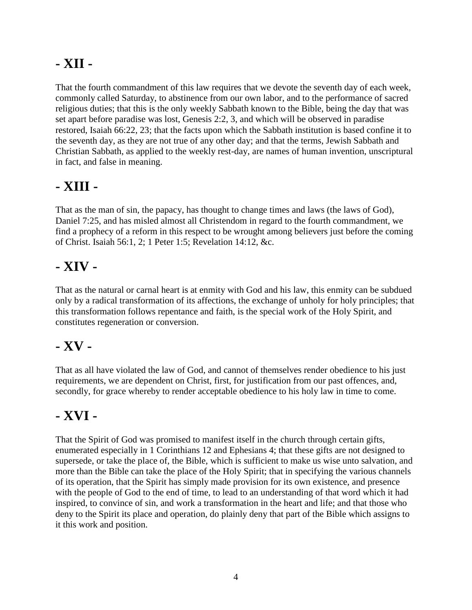# **- XII -**

That the fourth commandment of this law requires that we devote the seventh day of each week, commonly called Saturday, to abstinence from our own labor, and to the performance of sacred religious duties; that this is the only weekly Sabbath known to the Bible, being the day that was set apart before paradise was lost, Genesis 2:2, 3, and which will be observed in paradise restored, Isaiah 66:22, 23; that the facts upon which the Sabbath institution is based confine it to the seventh day, as they are not true of any other day; and that the terms, Jewish Sabbath and Christian Sabbath, as applied to the weekly rest-day, are names of human invention, unscriptural in fact, and false in meaning.

#### **- XIII -**

That as the man of sin, the papacy, has thought to change times and laws (the laws of God), Daniel 7:25, and has misled almost all Christendom in regard to the fourth commandment, we find a prophecy of a reform in this respect to be wrought among believers just before the coming of Christ. Isaiah 56:1, 2; 1 Peter 1:5; Revelation 14:12, &c.

#### **- XIV -**

That as the natural or carnal heart is at enmity with God and his law, this enmity can be subdued only by a radical transformation of its affections, the exchange of unholy for holy principles; that this transformation follows repentance and faith, is the special work of the Holy Spirit, and constitutes regeneration or conversion.

### **- XV -**

That as all have violated the law of God, and cannot of themselves render obedience to his just requirements, we are dependent on Christ, first, for justification from our past offences, and, secondly, for grace whereby to render acceptable obedience to his holy law in time to come.

### **- XVI -**

That the Spirit of God was promised to manifest itself in the church through certain gifts, enumerated especially in 1 Corinthians 12 and Ephesians 4; that these gifts are not designed to supersede, or take the place of, the Bible, which is sufficient to make us wise unto salvation, and more than the Bible can take the place of the Holy Spirit; that in specifying the various channels of its operation, that the Spirit has simply made provision for its own existence, and presence with the people of God to the end of time, to lead to an understanding of that word which it had inspired, to convince of sin, and work a transformation in the heart and life; and that those who deny to the Spirit its place and operation, do plainly deny that part of the Bible which assigns to it this work and position.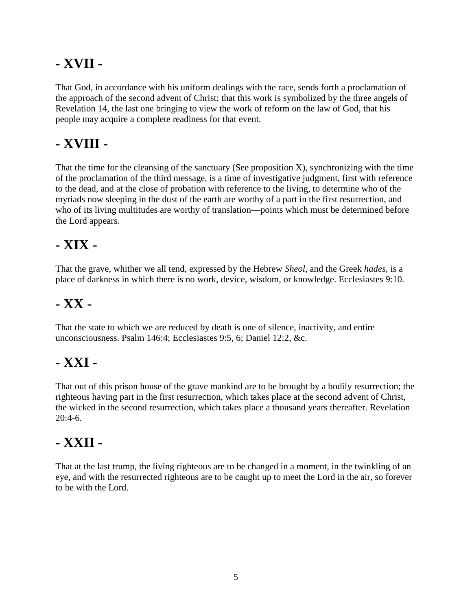# **- XVII -**

That God, in accordance with his uniform dealings with the race, sends forth a proclamation of the approach of the second advent of Christ; that this work is symbolized by the three angels of Revelation 14, the last one bringing to view the work of reform on the law of God, that his people may acquire a complete readiness for that event.

## **- XVIII -**

That the time for the cleansing of the sanctuary (See proposition X), synchronizing with the time of the proclamation of the third message, is a time of investigative judgment, first with reference to the dead, and at the close of probation with reference to the living, to determine who of the myriads now sleeping in the dust of the earth are worthy of a part in the first resurrection, and who of its living multitudes are worthy of translation—points which must be determined before the Lord appears.

### **- XIX -**

That the grave, whither we all tend, expressed by the Hebrew *Sheol*, and the Greek *hades*, is a place of darkness in which there is no work, device, wisdom, or knowledge. Ecclesiastes 9:10.

### **- XX -**

That the state to which we are reduced by death is one of silence, inactivity, and entire unconsciousness. Psalm 146:4; Ecclesiastes 9:5, 6; Daniel 12:2, &c.

## **- XXI -**

That out of this prison house of the grave mankind are to be brought by a bodily resurrection; the righteous having part in the first resurrection, which takes place at the second advent of Christ, the wicked in the second resurrection, which takes place a thousand years thereafter. Revelation 20:4-6.

## **- XXII -**

That at the last trump, the living righteous are to be changed in a moment, in the twinkling of an eye, and with the resurrected righteous are to be caught up to meet the Lord in the air, so forever to be with the Lord.